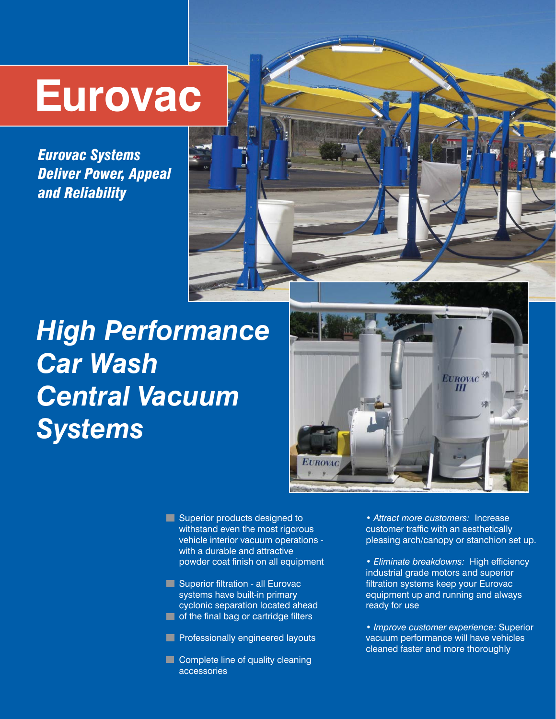## **Eurovac**

*Eurovac Systems Deliver Power, Appeal and Reliability*

### *High Performance Car Wash Central Vacuum Systems*



Superior products designed to withstand even the most rigorous vehicle interior vacuum operations with a durable and attractive powder coat finish on all equipment

- **Superior filtration all Eurovac** systems have built-in primary cyclonic separation located ahead **T** of the final bag or cartridge filters
- **Professionally engineered layouts**
- **Complete line of quality cleaning** accessories

• *Attract more customers:* Increase customer traffic with an aesthetically pleasing arch/canopy or stanchion set up.

• *Eliminate breakdowns:* High efficiency industrial grade motors and superior filtration systems keep your Eurovac equipment up and running and always ready for use

• *Improve customer experience:* Superior vacuum performance will have vehicles cleaned faster and more thoroughly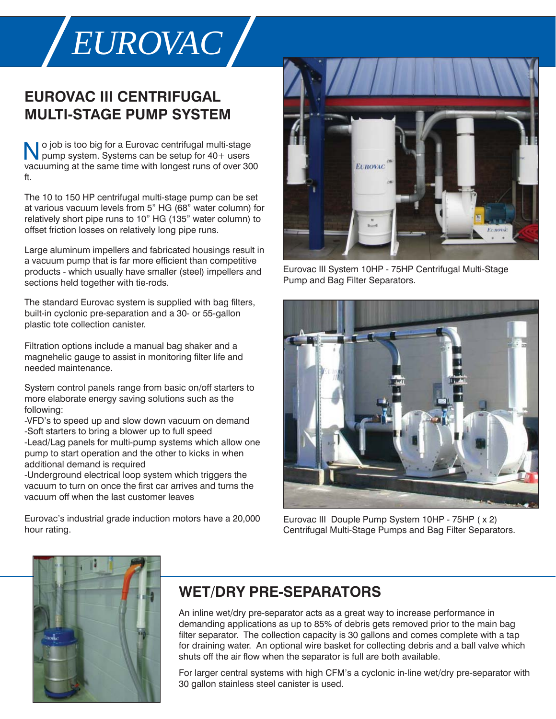# *EUROVAC*

#### **EUROVAC III CENTRIFUGAL MULTI-STAGE PUMP SYSTEM**

 o job is too big for a Eurovac centrifugal multi-stage No job is too big for a Eurovac centrifugal multi-stage<br>pump system. Systems can be setup for 40+ users vacuuming at the same time with longest runs of over 300 ft.

The 10 to 150 HP centrifugal multi-stage pump can be set at various vacuum levels from 5" HG (68" water column) for relatively short pipe runs to 10" HG (135" water column) to offset friction losses on relatively long pipe runs.

Large aluminum impellers and fabricated housings result in a vacuum pump that is far more efficient than competitive products - which usually have smaller (steel) impellers and sections held together with tie-rods.

The standard Eurovac system is supplied with bag filters, built-in cyclonic pre-separation and a 30- or 55-gallon plastic tote collection canister.

Filtration options include a manual bag shaker and a magnehelic gauge to assist in monitoring filter life and needed maintenance.

System control panels range from basic on/off starters to more elaborate energy saving solutions such as the following:

-VFD's to speed up and slow down vacuum on demand -Soft starters to bring a blower up to full speed -Lead/Lag panels for multi-pump systems which allow one pump to start operation and the other to kicks in when additional demand is required

-Underground electrical loop system which triggers the vacuum to turn on once the first car arrives and turns the vacuum off when the last customer leaves

Eurovac's industrial grade induction motors have a 20,000 hour rating.



Eurovac III System 10HP - 75HP Centrifugal Multi-Stage Pump and Bag Filter Separators.



Eurovac III Douple Pump System 10HP - 75HP ( x 2) Centrifugal Multi-Stage Pumps and Bag Filter Separators.



#### **WET/DRY PRE-SEPARATORS**

An inline wet/dry pre-separator acts as a great way to increase performance in demanding applications as up to 85% of debris gets removed prior to the main bag filter separator. The collection capacity is 30 gallons and comes complete with a tap for draining water. An optional wire basket for collecting debris and a ball valve which shuts off the air flow when the separator is full are both available.

For larger central systems with high CFM's a cyclonic in-line wet/dry pre-separator with 30 gallon stainless steel canister is used.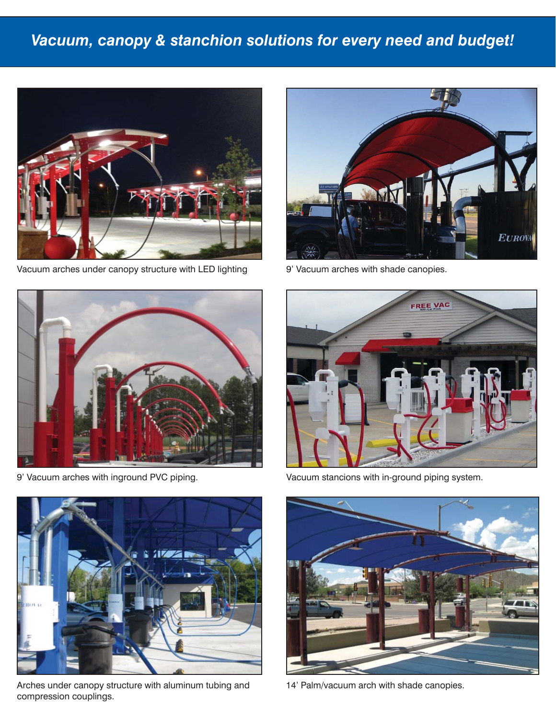#### *Vacuum, canopy & stanchion solutions for every need and budget!*



Vacuum arches under canopy structure with LED lighting



9' Vacuum arches with shade canopies.



9' Vacuum arches with inground PVC piping.



Arches under canopy structure with aluminum tubing and compression couplings.



Vacuum stancions with in-ground piping system.



14' Palm/vacuum arch with shade canopies.